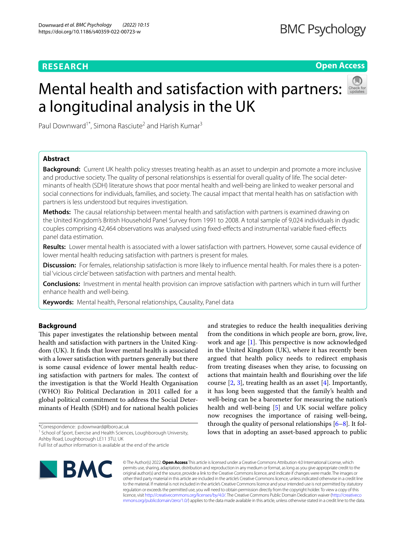# **RESEARCH**

# **Open Access**

# Mental health and satisfaction with partners: a longitudinal analysis in the UK



Paul Downward<sup>1\*</sup>, Simona Rasciute<sup>2</sup> and Harish Kumar<sup>3</sup>

# **Abstract**

**Background:** Current UK health policy stresses treating health as an asset to underpin and promote a more inclusive and productive society. The quality of personal relationships is essential for overall quality of life. The social determinants of health (SDH) literature shows that poor mental health and well-being are linked to weaker personal and social connections for individuals, families, and society. The causal impact that mental health has on satisfaction with partners is less understood but requires investigation.

**Methods:** The causal relationship between mental health and satisfaction with partners is examined drawing on the United Kingdom's British Household Panel Survey from 1991 to 2008. A total sample of 9,024 individuals in dyadic couples comprising 42,464 observations was analysed using fxed-efects and instrumental variable fxed-efects panel data estimation.

**Results:** Lower mental health is associated with a lower satisfaction with partners. However, some causal evidence of lower mental health reducing satisfaction with partners is present for males.

**Discussion:** For females, relationship satisfaction is more likely to infuence mental health. For males there is a potential 'vicious circle' between satisfaction with partners and mental health.

**Conclusions:** Investment in mental health provision can improve satisfaction with partners which in turn will further enhance health and well-being.

**Keywords:** Mental health, Personal relationships, Causality, Panel data

## **Background**

This paper investigates the relationship between mental health and satisfaction with partners in the United Kingdom (UK). It fnds that lower mental health is associated with a lower satisfaction with partners generally but there is some causal evidence of lower mental health reducing satisfaction with partners for males. The context of the investigation is that the World Health Organisation (WHO) Rio Political Declaration in 2011 called for a global political commitment to address the Social Determinants of Health (SDH) and for national health policies

\*Correspondence: p.downward@lboro.ac.uk

<sup>1</sup> School of Sport, Exercise and Health Sciences, Loughborough University, Ashby Road, Loughborough LE11 3TU, UK

Full list of author information is available at the end of the article



© The Author(s) 2022. **Open Access** This article is licensed under a Creative Commons Attribution 4.0 International License, which permits use, sharing, adaptation, distribution and reproduction in any medium or format, as long as you give appropriate credit to the original author(s) and the source, provide a link to the Creative Commons licence, and indicate if changes were made. The images or other third party material in this article are included in the article's Creative Commons licence, unless indicated otherwise in a credit line to the material. If material is not included in the article's Creative Commons licence and your intended use is not permitted by statutory regulation or exceeds the permitted use, you will need to obtain permission directly from the copyright holder. To view a copy of this licence, visit [http://creativecommons.org/licenses/by/4.0/.](http://creativecommons.org/licenses/by/4.0/) The Creative Commons Public Domain Dedication waiver ([http://creativeco](http://creativecommons.org/publicdomain/zero/1.0/) [mmons.org/publicdomain/zero/1.0/](http://creativecommons.org/publicdomain/zero/1.0/)) applies to the data made available in this article, unless otherwise stated in a credit line to the data.

and strategies to reduce the health inequalities deriving from the conditions in which people are born, grow, live, work and age  $[1]$  $[1]$  $[1]$ . This perspective is now acknowledged in the United Kingdom (UK), where it has recently been argued that health policy needs to redirect emphasis from treating diseases when they arise, to focussing on actions that maintain health and flourishing over the life course [[2,](#page-8-1) [3\]](#page-8-2), treating health as an asset [\[4](#page-8-3)]. Importantly, it has long been suggested that the family's health and well-being can be a barometer for measuring the nation's health and well-being [\[5](#page-8-4)] and UK social welfare policy now recognises the importance of raising well-being, through the quality of personal relationships  $[6-8]$  $[6-8]$ . It follows that in adopting an asset-based approach to public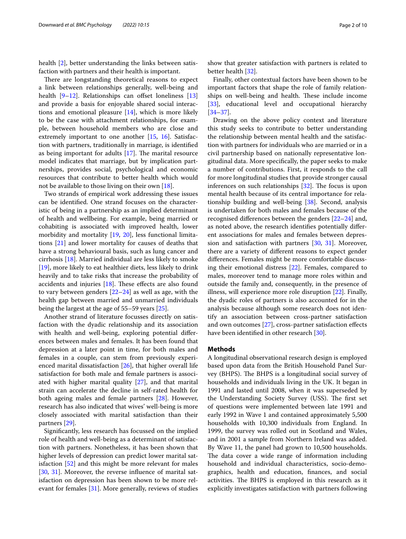health [[2\]](#page-8-1), better understanding the links between satisfaction with partners and their health is important.

There are longstanding theoretical reasons to expect a link between relationships generally, well-being and health  $[9-12]$  $[9-12]$  $[9-12]$ . Relationships can offset loneliness  $[13]$  $[13]$  $[13]$ and provide a basis for enjoyable shared social interactions and emotional pleasure [\[14\]](#page-8-10), which is more likely to be the case with attachment relationships, for example, between household members who are close and extremely important to one another [[15](#page-8-11), [16](#page-8-12)]. Satisfaction with partners, traditionally in marriage, is identifed as being important for adults  $[17]$  $[17]$ . The marital resource model indicates that marriage, but by implication partnerships, provides social, psychological and economic resources that contribute to better health which would not be available to those living on their own [\[18](#page-8-14)].

Two strands of empirical work addressing these issues can be identifed. One strand focuses on the characteristic of being in a partnership as an implied determinant of health and wellbeing. For example, being married or cohabiting is associated with improved health, lower morbidity and mortality [[19](#page-8-15), [20](#page-8-16)], less functional limitations [[21\]](#page-8-17) and lower mortality for causes of deaths that have a strong behavioural basis, such as lung cancer and cirrhosis [\[18\]](#page-8-14). Married individual are less likely to smoke [[19\]](#page-8-15), more likely to eat healthier diets, less likely to drink heavily and to take risks that increase the probability of accidents and injuries  $[18]$  $[18]$  $[18]$ . These effects are also found to vary between genders  $[22-24]$  $[22-24]$  as well as age, with the health gap between married and unmarried individuals being the largest at the age of 55–59 years [\[25](#page-8-20)].

Another strand of literature focusses directly on satisfaction with the dyadic relationship and its association with health and well-being, exploring potential diferences between males and females. It has been found that depression at a later point in time, for both males and females in a couple, can stem from previously experienced marital dissatisfaction [[26](#page-8-21)], that higher overall life satisfaction for both male and female partners is associated with higher marital quality [\[27](#page-8-22)], and that marital strain can accelerate the decline in self-rated health for both ageing males and female partners [\[28](#page-8-23)]. However, research has also indicated that wives' well-being is more closely associated with marital satisfaction than their partners [[29](#page-8-24)].

Signifcantly, less research has focussed on the implied role of health and well-being as a determinant of satisfaction with partners. Nonetheless, it has been shown that higher levels of depression can predict lower marital satisfaction [\[52\]](#page-9-0) and this might be more relevant for males [[30,](#page-8-25) [31](#page-8-26)]. Moreover, the reverse infuence of marital satisfaction on depression has been shown to be more relevant for females [\[31\]](#page-8-26). More generally, reviews of studies

show that greater satisfaction with partners is related to better health [\[32](#page-8-27)].

Finally, other contextual factors have been shown to be important factors that shape the role of family relationships on well-being and health. These include income [[33\]](#page-8-28), educational level and occupational hierarchy [[34–](#page-8-29)[37\]](#page-8-30).

Drawing on the above policy context and literature this study seeks to contribute to better understanding the relationship between mental health and the satisfaction with partners for individuals who are married or in a civil partnership based on nationally representative longitudinal data. More specifcally, the paper seeks to make a number of contributions. First, it responds to the call for more longitudinal studies that provide stronger causal inferences on such relationships  $[32]$  $[32]$ . The focus is upon mental health because of its central importance for relationship building and well-being [[38](#page-8-31)]. Second, analysis is undertaken for both males and females because of the recognised diferences between the genders [[22](#page-8-18)[–24](#page-8-19)] and, as noted above, the research identifes potentially diferent associations for males and females between depression and satisfaction with partners [[30,](#page-8-25) [31\]](#page-8-26). Moreover, there are a variety of diferent reasons to expect gender diferences. Females might be more comfortable discussing their emotional distress [\[22](#page-8-18)]. Females, compared to males, moreover tend to manage more roles within and outside the family and, consequently, in the presence of illness, will experience more role disruption [[22](#page-8-18)]. Finally, the dyadic roles of partners is also accounted for in the analysis because although some research does not identify an association between cross-partner satisfaction and own outcomes [[27\]](#page-8-22), cross-partner satisfaction efects have been identified in other research [[30\]](#page-8-25).

## **Methods**

A longitudinal observational research design is employed based upon data from the British Household Panel Survey (BHPS). The BHPS is a longitudinal social survey of households and individuals living in the UK. It began in 1991 and lasted until 2008, when it was superseded by the Understanding Society Survey (USS). The first set of questions were implemented between late 1991 and early 1992 in Wave 1 and contained approximately 5,500 households with 10,300 individuals from England. In 1999, the survey was rolled out in Scotland and Wales, and in 2001 a sample from Northern Ireland was added. By Wave 11, the panel had grown to 10,500 households. The data cover a wide range of information including household and individual characteristics, socio-demographics, health and education, fnances, and social activities. The BHPS is employed in this research as it explicitly investigates satisfaction with partners following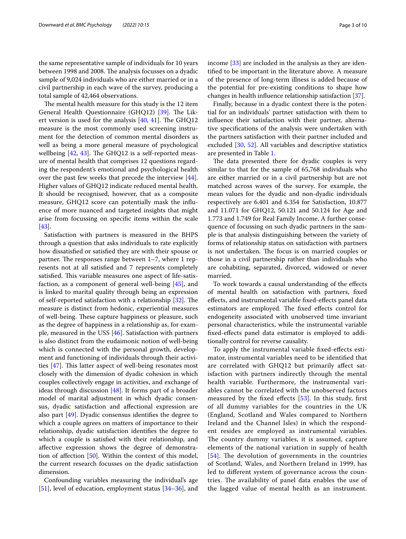the same representative sample of individuals for 10 years between 1998 and 2008. The analysis focusses on a dyadic sample of 9,024 individuals who are either married or in a civil partnership in each wave of the survey, producing a total sample of 42,464 observations.

The mental health measure for this study is the 12 item General Health Questionnaire (GHQ12) [[39\]](#page-8-32). The Likert version is used for the analysis  $[40, 41]$  $[40, 41]$  $[40, 41]$  $[40, 41]$ . The GHQ12 measure is the most commonly used screening instrument for the detection of common mental disorders as well as being a more general measure of psychological wellbeing  $[42, 43]$  $[42, 43]$  $[42, 43]$ . The GHQ12 is a self-reported measure of mental health that comprises 12 questions regarding the respondent's emotional and psychological health over the past few weeks that precede the interview [\[44](#page-9-5)]. Higher values of GHQ12 indicate reduced mental health. It should be recognised, however, that as a composite measure, GHQ12 score can potentially mask the infuence of more nuanced and targeted insights that might arise from focussing on specifc items within the scale [[43\]](#page-9-4).

Satisfaction with partners is measured in the BHPS through a question that asks individuals to rate explicitly how dissatisfed or satisfed they are with their spouse or partner. The responses range between  $1-7$ , where  $1$  represents not at all satisfed and 7 represents completely satisfied. This variable measures one aspect of life-satisfaction, as a component of general well-being [\[45](#page-9-6)], and is linked to marital quality through being an expression of self-reported satisfaction with a relationship [[32\]](#page-8-27). The measure is distinct from hedonic, experiential measures of well-being. These capture happiness or pleasure, such as the degree of happiness in a relationship as, for example, measured in the USS [[46\]](#page-9-7). Satisfaction with partners is also distinct from the eudaimonic notion of well-being which is connected with the personal growth, development and functioning of individuals through their activities  $[47]$  $[47]$ . This latter aspect of well-being resonates most closely with the dimension of dyadic cohesion in which couples collectively engage in activities, and exchange of ideas through discussion [\[48](#page-9-9)]. It forms part of a broader model of marital adjustment in which dyadic consensus, dyadic satisfaction and afectional expression are also part [\[49](#page-9-10)]. Dyadic consensus identifes the degree to which a couple agrees on matters of importance to their relationship, dyadic satisfaction identifes the degree to which a couple is satisfed with their relationship, and afective expression shows the degree of demonstration of afection [[50\]](#page-9-11). Within the context of this model, the current research focusses on the dyadic satisfaction dimension.

Confounding variables measuring the individual's age [[51\]](#page-9-12), level of education, employment status [\[34](#page-8-29)[–36\]](#page-8-33), and income [[33\]](#page-8-28) are included in the analysis as they are identifed to be important in the literature above. A measure of the presence of long-term illness is added because of the potential for pre-existing conditions to shape how changes in health infuence relationship satisfaction [[37](#page-8-30)].

Finally, because in a dyadic context there is the potential for an individuals' partner satisfaction with them to infuence their satisfaction with their partner, alternative specifcations of the analysis were undertaken with the partners satisfaction with their partner included and excluded [[30,](#page-8-25) [52\]](#page-9-0). All variables and descriptive statistics are presented in Table [1.](#page-3-0)

The data presented there for dyadic couples is very similar to that for the sample of 65,768 individuals who are either married or in a civil partnership but are not matched across waves of the survey. For example, the mean values for the dyadic and non-dyadic individuals respectively are 6.401 and 6.354 for Satisfaction, 10.877 and 11.071 for GHQ12, 50.121 and 50.124 for Age and 1.773 and 1.749 for Real Family Income. A further consequence of focussing on such dyadic partners in the sample is that analysis distinguishing between the variety of forms of relationship status on satisfaction with partners is not undertaken. The focus is on married couples or those in a civil partnership rather than individuals who are cohabiting, separated, divorced, widowed or never married.

To work towards a causal understanding of the efects of mental health on satisfaction with partners, fxed efects, and instrumental variable fxed-efects panel data estimators are employed. The fixed effects control for endogeneity associated with unobserved time invariant personal characteristics, while the instrumental variable fxed-efects panel data estimator is employed to additionally control for reverse causality.

To apply the instrumental variable fxed-efects estimator, instrumental variables need to be identifed that are correlated with GHQ12 but primarily afect satisfaction with partners indirectly through the mental health variable. Furthermore, the instrumental variables cannot be correlated with the unobserved factors measured by the fxed efects [[53\]](#page-9-13). In this study, frst of all dummy variables for the countries in the UK (England, Scotland and Wales compared to Northern Ireland and the Channel Isles) in which the respondent resides are employed as instrumental variables. The country dummy variables, it is assumed, capture elements of the national variation in supply of health  $[54]$  $[54]$  $[54]$ . The devolution of governments in the countries of Scotland, Wales, and Northern Ireland in 1999, has led to diferent system of governance across the countries. The availability of panel data enables the use of the lagged value of mental health as an instrument.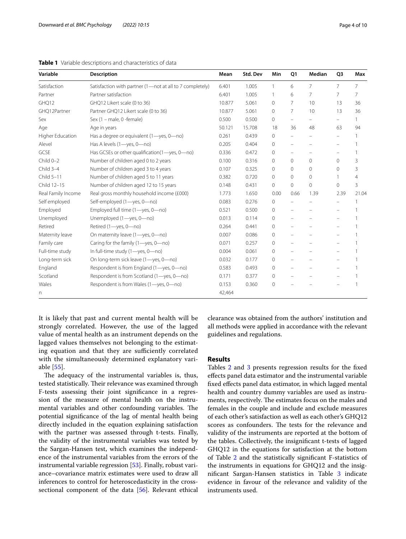<span id="page-3-0"></span>**Table 1** Variable descriptions and characteristics of data

| Variable           | <b>Description</b>                                       | Mean   | Std. Dev | Min          | Q1                       | Median                   | Q <sub>3</sub>           | Max            |
|--------------------|----------------------------------------------------------|--------|----------|--------------|--------------------------|--------------------------|--------------------------|----------------|
| Satisfaction       | Satisfaction with partner (1-not at all to 7 completely) | 6.401  | 1.005    | 1            | 6                        | $\overline{7}$           | $\overline{7}$           | 7              |
| Partner            | Partner satisfaction                                     |        | 1.005    | $\mathbf{1}$ | 6                        | 7                        | 7                        | 7              |
| GHQ12              | GHQ12 Likert scale (0 to 36)                             |        | 5.061    | $\mathbf{0}$ | 7                        | 10                       | 13                       | 36             |
| GHQ12Partner       | Partner GHQ12 Likert scale (0 to 36)                     | 10.877 | 5.061    | $\Omega$     | 7                        | 10                       | 13                       | 36             |
| Sex                | Sex (1 - male, 0 -female)                                | 0.500  | 0.500    | $\mathbf{0}$ | $\overline{\phantom{0}}$ | $\overline{\phantom{0}}$ | $\overline{\phantom{m}}$ | 1              |
| Age                | Age in years                                             | 50.121 | 15.708   | 18           | 36                       | 48                       | 63                       | 94             |
| Higher Education   | Has a degree or equivalent (1-yes, 0-no)                 | 0.261  | 0.439    | $\Omega$     | $\overline{\phantom{0}}$ |                          | $\overline{\phantom{m}}$ |                |
| Alevel             | Has A levels (1-yes, 0-no)                               | 0.205  | 0.404    | $\Omega$     | $\overline{\phantom{0}}$ | -                        | $\qquad \qquad -$        |                |
| GCSE               | Has GCSEs or other qualification(1-yes, 0-no)            |        | 0.472    | $\mathbf{0}$ | $\overline{\phantom{0}}$ |                          | $\overline{\phantom{m}}$ | 1              |
| $Child 0-2$        | Number of children aged 0 to 2 years                     | 0.100  | 0.316    | $\circ$      | 0                        | $\circ$                  | $\mathbf{0}$             | 3              |
| Child 3-4          | Number of children aged 3 to 4 years                     | 0.107  | 0.325    | $\Omega$     | $\Omega$                 | $\mathbf{0}$             | $\Omega$                 | 3              |
| Child 5-11         | Number of children aged 5 to 11 years                    | 0.382  | 0.720    | $\Omega$     | $\Omega$                 | $\Omega$                 | 1                        | $\overline{4}$ |
| Child 12-15        | Number of children aged 12 to 15 years                   | 0.148  | 0.431    | 0            | 0                        | $\Omega$                 | 0                        | $\overline{3}$ |
| Real Family Income | Real gross monthly household income (£000)               | 1.773  | 1.650    | 0.00         | 0.66                     | 1.39                     | 2.39                     | 21.04          |
| Self employed      | Self-employed (1-yes, 0-no)                              | 0.083  | 0.276    | 0            | $\qquad \qquad -$        |                          |                          |                |
| Employed           | Employed full time (1-yes, 0-no)                         | 0.521  | 0.500    | 0            |                          |                          | $\qquad \qquad -$        |                |
| Unemployed         | Unemployed (1-yes, 0-no)                                 | 0.013  | 0.114    | $\Omega$     | $\overline{\phantom{0}}$ |                          |                          |                |
| Retired            | Retired (1-yes, 0-no)                                    | 0.264  | 0.441    | $\Omega$     | $\overline{\phantom{0}}$ |                          | $\overline{\phantom{0}}$ |                |
| Maternity leave    | On maternity leave (1-yes, 0-no)                         | 0.007  | 0.086    | 0            | $\qquad \qquad -$        |                          | $\overline{\phantom{0}}$ |                |
| Family care        | Caring for the family (1-yes, 0-no)                      | 0.071  | 0.257    | 0            |                          |                          |                          |                |
| Full-time study    | In full-time study (1-yes, 0-no)                         | 0.004  | 0.061    | $\Omega$     | $\overline{\phantom{0}}$ |                          | $\overline{\phantom{0}}$ |                |
| Long-term sick     | On long-term sick leave (1-yes, 0-no)                    | 0.032  | 0.177    | $\mathbf{0}$ | $\overline{\phantom{m}}$ | $\overline{\phantom{m}}$ | $\overline{\phantom{m}}$ |                |
| England            | Respondent is from England (1-yes, 0-no)                 | 0.583  | 0.493    | $\Omega$     |                          |                          |                          |                |
| Scotland           | Respondent is from Scotland (1-yes, 0-no)                | 0.171  | 0.377    | $\circ$      |                          |                          | $\overline{\phantom{0}}$ |                |
| Wales              | Respondent is from Wales (1-yes, 0-no)                   | 0.153  | 0.360    | $\circ$      |                          |                          |                          |                |
| n                  |                                                          | 42,464 |          |              |                          |                          |                          |                |

It is likely that past and current mental health will be strongly correlated. However, the use of the lagged value of mental health as an instrument depends on the lagged values themselves not belonging to the estimating equation and that they are sufficiently correlated with the simultaneously determined explanatory variable [[55\]](#page-9-15).

The adequacy of the instrumental variables is, thus, tested statistically. Their relevance was examined through F-tests assessing their joint signifcance in a regression of the measure of mental health on the instrumental variables and other confounding variables. The potential signifcance of the lag of mental health being directly included in the equation explaining satisfaction with the partner was assessed through t-tests. Finally, the validity of the instrumental variables was tested by the Sargan-Hansen test, which examines the independence of the instrumental variables from the errors of the instrumental variable regression [[53\]](#page-9-13). Finally, robust variance–covariance matrix estimates were used to draw all inferences to control for heteroscedasticity in the crosssectional component of the data [[56\]](#page-9-16). Relevant ethical clearance was obtained from the authors' institution and all methods were applied in accordance with the relevant guidelines and regulations.

# **Results**

Tables [2](#page-4-0) and [3](#page-5-0) presents regression results for the fixed efects panel data estimator and the instrumental variable fxed efects panel data estimator, in which lagged mental health and country dummy variables are used as instruments, respectively. The estimates focus on the males and females in the couple and include and exclude measures of each other's satisfaction as well as each other's GHQ12 scores as confounders. The tests for the relevance and validity of the instruments are reported at the bottom of the tables. Collectively, the insignifcant t-tests of lagged GHQ12 in the equations for satisfaction at the bottom of Table [2](#page-4-0) and the statistically signifcant F-statistics of the instruments in equations for GHQ12 and the insignifcant Sargan-Hansen statistics in Table [3](#page-5-0) indicate evidence in favour of the relevance and validity of the instruments used.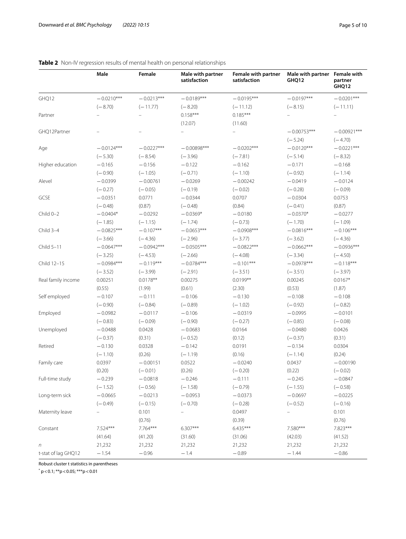|                     | Male         | Female                   | Male with partner<br>satisfaction | Female with partner<br>satisfaction | Male with partner Female with<br>GHQ12 | partner<br>GHQ12 |
|---------------------|--------------|--------------------------|-----------------------------------|-------------------------------------|----------------------------------------|------------------|
| GHQ12               | $-0.0210***$ | $-0.0213***$             | $-0.0189***$                      | $-0.0195***$                        | $-0.0197***$                           | $-0.0201***$     |
|                     | $(-8.70)$    | $(-11.77)$               | $(-8.20)$                         | $(-11.12)$                          | $(-8.15)$                              | $(-11.11)$       |
| Partner             |              |                          | $0.158***$                        | $0.185***$                          |                                        |                  |
|                     |              |                          | (12.07)                           | (11.60)                             |                                        |                  |
| GHQ12Partner        |              | $\overline{\phantom{0}}$ |                                   | $\qquad \qquad -$                   | $-0.00753***$                          | $-0.00921***$    |
|                     |              |                          |                                   |                                     | $(-5.24)$                              | $(-4.70)$        |
| Age                 | $-0.0124***$ | $-0.0227***$             | $-0.00898***$                     | $-0.0202***$                        | $-0.0120***$                           | $-0.0221***$     |
|                     | $(-5.30)$    | $(-8.54)$                | $(-3.96)$                         | $(-7.81)$                           | $(-5.14)$                              | $(-8.32)$        |
| Higher education    | $-0.165$     | $-0.156$                 | $-0.122$                          | $-0.162$                            | $-0.171$                               | $-0.168$         |
|                     | $(-0.90)$    | $(-1.05)$                | $(-0.71)$                         | $(-1.10)$                           | $(-0.92)$                              | $(-1.14)$        |
| Alevel              | $-0.0399$    | $-0.00761$               | $-0.0269$                         | $-0.00242$                          | $-0.0419$                              | $-0.0124$        |
|                     | $(-0.27)$    | $(-0.05)$                | $(-0.19)$                         | $(-0.02)$                           | $(-0.28)$                              | $(-0.09)$        |
| GCSE                | $-0.0351$    | 0.0771                   | $-0.0344$                         | 0.0707                              | $-0.0304$                              | 0.0753           |
|                     | $(-0.48)$    | (0.87)                   | $(-0.48)$                         | (0.84)                              | $(-0.41)$                              | (0.87)           |
| Child 0-2           | $-0.0404*$   | $-0.0292$                | $-0.0369*$                        | $-0.0180$                           | $-0.0370*$                             | $-0.0277$        |
|                     | $(-1.85)$    | $(-1.15)$                | $(-1.74)$                         | $(-0.73)$                           | $(-1.70)$                              | $(-1.09)$        |
| Child 3-4           | $-0.0825***$ | $-0.107***$              | $-0.0653***$                      | $-0.0908***$                        | $-0.0816***$                           | $-0.106***$      |
|                     | $(-3.66)$    | $(-4.36)$                | $(-2.96)$                         | $(-3.77)$                           | $(-3.62)$                              | $(-4.36)$        |
| Child 5-11          | $-0.0647***$ | $-0.0942***$             | $-0.0505***$                      | $-0.0822***$                        | $-0.0662***$                           | $-0.0936***$     |
|                     | $(-3.25)$    | $(-4.53)$                | $(-2.66)$                         | $(-4.08)$                           | $(-3.34)$                              | $(-4.50)$        |
| Child 12-15         | $-0.0984***$ | $-0.119***$              | $-0.0784***$                      | $-0.101***$                         | $-0.0978***$                           | $-0.118***$      |
|                     | $(-3.52)$    | $(-3.99)$                | $(-2.91)$                         | $(-3.51)$                           | $(-3.51)$                              | $(-3.97)$        |
| Real family income  | 0.00251      | $0.0178**$               | 0.00275                           | $0.0199**$                          | 0.00245                                | $0.0167*$        |
|                     | (0.55)       | (1.99)                   | (0.61)                            | (2.30)                              | (0.53)                                 | (1.87)           |
| Self employed       | $-0.107$     | $-0.111$                 | $-0.106$                          | $-0.130$                            | $-0.108$                               | $-0.108$         |
|                     | $(-0.90)$    | $(-0.84)$                | $(-0.89)$                         | $(-1.02)$                           | $(-0.92)$                              | $(-0.82)$        |
| Employed            | $-0.0982$    | $-0.0117$                | $-0.106$                          | $-0.0319$                           | $-0.0995$                              | $-0.0101$        |
|                     | $(-0.83)$    | $(-0.09)$                | $(-0.90)$                         | $(-0.27)$                           | $(-0.85)$                              | $(-0.08)$        |
| Unemployed          | $-0.0488$    | 0.0428                   | $-0.0683$                         | 0.0164                              | $-0.0480$                              | 0.0426           |
|                     | $(-0.37)$    | (0.31)                   | $(-0.52)$                         | (0.12)                              | $(-0.37)$                              | (0.31)           |
| Retired             | $-0.130$     | 0.0328                   | $-0.142$                          | 0.0191                              | $-0.134$                               | 0.0304           |
|                     | $(-1.10)$    | (0.26)                   | $(-1.19)$                         | (0.16)                              | $(-1.14)$                              | (0.24)           |
| Family care         | 0.0397       | $-0.00151$               | 0.0522                            | $-0.0240$                           | 0.0437                                 | $-0.00190$       |
|                     | (0.20)       | $(-0.01)$                | (0.26)                            | $(-0.20)$                           | (0.22)                                 | $(-0.02)$        |
| Full-time study     | $-0.239$     | $-0.0818$                | $-0.246$                          | $-0.111$                            | $-0.245$                               | $-0.0847$        |
|                     | $(-1.52)$    | $(-0.56)$                | $(-1.58)$                         | $(-0.79)$                           | $(-1.55)$                              | $(-0.58)$        |
| Long-term sick      | $-0.0665$    | $-0.0213$                | $-0.0953$                         | $-0.0373$                           | $-0.0697$                              | $-0.0225$        |
|                     | $(-0.49)$    | $(-0.15)$                | $(-0.70)$                         | $(-0.28)$                           | $(-0.52)$                              | $(-0.16)$        |
| Maternity leave     |              | 0.101                    |                                   | 0.0497                              |                                        | 0.101            |
|                     |              | (0.76)                   |                                   | (0.39)                              |                                        | (0.76)           |
| Constant            | 7.524***     | 7.764***                 | $6.307***$                        | $6.435***$                          | 7.580***                               | 7.823***         |
|                     | (41.64)      | (41.20)                  | (31.60)                           | (31.06)                             | (42.03)                                | (41.52)          |
| $\sqrt{n}$          | 21,232       | 21,232                   | 21,232                            | 21,232                              | 21,232                                 | 21,232           |
| t-stat of lag GHQ12 | $-1.54$      | $-0.96$                  | $-1.4$                            | $-0.89$                             | $-1.44$                                | $-0.86$          |

## <span id="page-4-0"></span>**Table 2** Non-IV regression results of mental health on personal relationships

Robust cluster t statistics in parentheses

 $p$  < 0.1; \*\*p < 0.05; \*\*\*p < 0.01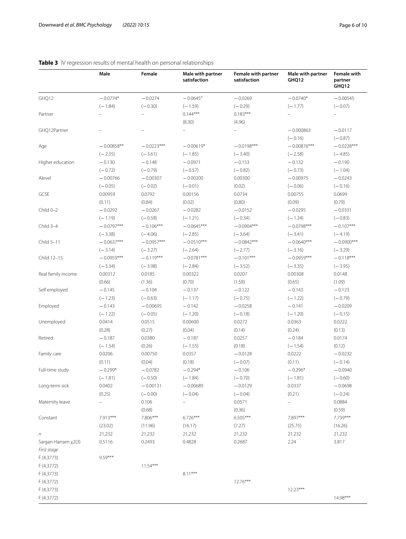|                     | Male                     | Female       | Male with partner<br>satisfaction | Female with partner<br>satisfaction | Male with partner<br>GHQ12 | <b>Female with</b><br>partner<br>GHQ12 |
|---------------------|--------------------------|--------------|-----------------------------------|-------------------------------------|----------------------------|----------------------------------------|
| GHQ12               | $-0.0774*$               | $-0.0274$    | $-0.0645$ <sup>a</sup>            | $-0.0269$                           | $-0.0740*$                 | $-0.00545$                             |
|                     | $(-1.84)$                | $(-0.30)$    | $(-1.59)$                         | $(-0.29)$                           | $(-1.77)$                  | $(-0.07)$                              |
| Partner             |                          |              | $0.144***$                        | $0.183***$                          |                            |                                        |
|                     |                          |              | (8.30)                            | (4.96)                              |                            |                                        |
| GHQ12Partner        |                          |              | $\overline{\phantom{0}}$          |                                     | $-0.000863$                | $-0.0117$                              |
|                     |                          |              |                                   |                                     | $(-0.16)$                  | $(-0.87)$                              |
| Age                 | $-0.00858**$             | $-0.0223***$ | $-0.00619*$                       | $-0.0198***$                        | $-0.00876***$              | $-0.0228***$                           |
|                     | $(-2.35)$                | $(-3.61)$    | $(-1.85)$                         | $(-3.40)$                           | $(-2.58)$                  | $(-4.85)$                              |
| Higher education    | $-0.130$                 | $-0.148$     | $-0.0971$                         | $-0.153$                            | $-0.132$                   | $-0.190$                               |
|                     | $(-0.72)$                | $(-0.79)$    | $(-0.57)$                         | $(-0.82)$                           | $(-0.73)$                  | $(-1.04)$                              |
| Alevel              | $-0.00766$               | $-0.00307$   | $-0.00200$                        | 0.00300                             | $-0.00975$                 | $-0.0243$                              |
|                     | $(-0.05)$                | $(-0.02)$    | $(-0.01)$                         | (0.02)                              | $(-0.06)$                  | $(-0.16)$                              |
| GCSE                | 0.00959                  | 0.0792       | 0.00156                           | 0.0734                              | 0.00755                    | 0.0699                                 |
|                     | (0.11)                   | (0.84)       | (0.02)                            | (0.80)                              | (0.09)                     | (0.79)                                 |
| Child 0-2           | $-0.0292$                | $-0.0267$    | $-0.0282$                         | $-0.0152$                           | $-0.0295$                  | $-0.0331$                              |
|                     | $(-1.19)$                | $(-0.58)$    | $(-1.21)$                         | $(-0.34)$                           | $(-1.24)$                  | $(-0.83)$                              |
| Child 3-4           | $-0.0797***$             | $-0.106***$  | $-0.0645***$                      | $-0.0904***$                        | $-0.0798***$               | $-0.107***$                            |
|                     | $(-3.38)$                | $(-4.06)$    | $(-2.85)$                         | $(-3.64)$                           | $(-3.41)$                  | $(-4.19)$                              |
| Child 5-11          | $-0.0637***$             | $-0.0957***$ | $-0.0510***$                      | $-0.0842***$                        | $-0.0640***$               | $-0.0900***$                           |
|                     | $(-3.14)$                | $(-3.27)$    | $(-2.64)$                         | $(-2.77)$                           | $(-3.16)$                  | $(-3.29)$                              |
| Child 12-15         | $-0.0959***$             | $-0.119***$  | $-0.0781***$                      | $-0.101***$                         | $-0.0959***$               | $-0.118***$                            |
|                     | $(-3.34)$                | $(-3.98)$    | $(-2.84)$                         | $(-3.52)$                           | $(-3.35)$                  | $(-3.95)$                              |
| Real family income  | 0.00312                  | 0.0185       | 0.00322                           | 0.0207                              | 0.00308                    | 0.0148                                 |
|                     | (0.66)                   | (1.36)       | (0.70)                            | (1.58)                              | (0.65)                     | (1.09)                                 |
| Self employed       | $-0.145$                 | $-0.104$     | $-0.137$                          | $-0.122$                            | $-0.143$                   | $-0.123$                               |
|                     | $(-1.23)$                | $(-0.63)$    | $(-1.17)$                         | $(-0.75)$                           | $(-1.22)$                  | $(-0.79)$                              |
| Employed            | $-0.143$                 | $-0.00695$   | $-0.142$                          | $-0.0258$                           | $-0.141$                   | $-0.0209$                              |
|                     | $(-1.22)$                | $(-0.05)$    | $(-1.20)$                         | $(-0.18)$                           | $(-1.20)$                  | $(-0.15)$                              |
| Unemployed          | 0.0414                   | 0.0515       | 0.00600                           | 0.0272                              | 0.0363                     | 0.0222                                 |
|                     | (0.28)                   | (0.27)       | (0.04)                            | (0.14)                              | (0.24)                     | (0.13)                                 |
| Retired             | $-0.187$                 | 0.0380       | $-0.187$                          | 0.0257                              | $-0.184$                   | 0.0174                                 |
|                     | $(-1.54)$                | (0.26)       | $(-1.55)$                         | (0.18)                              | $(-1.54)$                  | (0.12)                                 |
| Family care         | 0.0206                   | 0.00750      | 0.0357                            | $-0.0128$                           | 0.0222                     | $-0.0232$                              |
|                     | (0.11)                   | (0.04)       | (0.18)                            | $(-0.07)$                           | (0.11)                     | $(-0.14)$                              |
| Full-time study     | $-0.299*$                | $-0.0782$    | $-0.294*$                         | $-0.106$                            | $-0.296*$                  | $-0.0940$                              |
|                     | $(-1.81)$                | $(-0.50)$    | $(-1.84)$                         | $(-0.70)$                           | $(-1.81)$                  | $(-0.60)$                              |
| Long-term sick      | 0.0402                   | $-0.00131$   | $-0.00689$                        | $-0.0129$                           | 0.0337                     | $-0.0698$                              |
|                     | (0.25)                   | $(-0.00)$    | $(-0.04)$                         | $(-0.04)$                           | (0.21)                     | $(-0.24)$                              |
| Maternity leave     | $\overline{\phantom{0}}$ | 0.106        | $\overline{\phantom{0}}$          | 0.0571                              | $\overline{\phantom{0}}$   | 0.0884                                 |
|                     |                          | (0.68)       |                                   | (0.36)                              |                            | (0.59)                                 |
| Constant            | 7.913***                 | 7.806***     | $6.726***$                        | $6.505***$                          | 7.897***                   | 7.739***                               |
|                     | (23.02)                  | (11.96)      | (16.17)                           | (7.27)                              | (25.75)                    | (16.26)                                |
| n                   | 21,232                   | 21,232       | 21,232                            | 21,232                              | 21,232                     | 21,232                                 |
| Sargan-Hansen x2(3) | 0.5116                   | 0.2493       | 0.4828                            | 0.2687                              | 2.24                       | 3.817                                  |
| First stage         |                          |              |                                   |                                     |                            |                                        |
| F (4,3773)          | 9.59***                  |              |                                   |                                     |                            |                                        |
| F (4,3772)          |                          | $11.54***$   |                                   |                                     |                            |                                        |
| F (4,3773)          |                          |              | $8.11***$                         |                                     |                            |                                        |
| F (4,3772)          |                          |              |                                   | $12.76***$                          |                            |                                        |
| F (4,3773)          |                          |              |                                   |                                     | $12.23***$                 |                                        |
| F (4,3772)          |                          |              |                                   |                                     |                            | 14.98***                               |
|                     |                          |              |                                   |                                     |                            |                                        |

# <span id="page-5-0"></span>**Table 3** IV regression results of mental health on personal relationships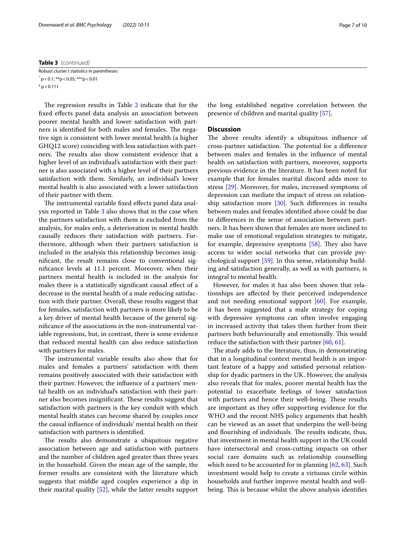#### **Table 3** (continued)

Robust cluster t statistics in parentheses  $*$  p < 0.1;  $**$ p < 0.05;  $***$ p < 0.01  $a$  p  $<$  0.111

The regression results in Table [2](#page-4-0) indicate that for the fxed efects panel data analysis an association between poorer mental health and lower satisfaction with partners is identified for both males and females. The negative sign is consistent with lower mental health (a higher GHQ12 score) coinciding with less satisfaction with partners. The results also show consistent evidence that a higher level of an individual's satisfaction with their partner is also associated with a higher level of their partners satisfaction with them. Similarly, an individual's lower mental health is also associated with a lower satisfaction of their partner with them.

The instrumental variable fixed effects panel data analysis reported in Table [3](#page-5-0) also shows that in the case when the partners satisfaction with them is excluded from the analysis, for males only, a deterioration in mental health causally reduces their satisfaction with partners. Furthermore, although when their partners satisfaction is included in the analysis this relationship becomes insignifcant, the result remains close to conventional signifcance levels at 11.1 percent. Moreover, when their partners mental health is included in the analysis for males there is a statistically signifcant causal efect of a decrease in the mental health of a male reducing satisfaction with their partner. Overall, these results suggest that for females, satisfaction with partners is more likely to be a key driver of mental health because of the general signifcance of the associations in the non-instrumental variable regressions, but, in contrast, there is some evidence that reduced mental health can also reduce satisfaction with partners for males.

The instrumental variable results also show that for males and females a partners' satisfaction with them remains positively associated with their satisfaction with their partner. However, the infuence of a partners' mental health on an individual's satisfaction with their partner also becomes insignificant. These results suggest that satisfaction with partners is the key conduit with which mental health states can become shared by couples once the causal infuence of individuals' mental health on their satisfaction with partners is identifed.

The results also demonstrate a ubiquitous negative association between age and satisfaction with partners and the number of children aged greater than three years in the household. Given the mean age of the sample, the former results are consistent with the literature which suggests that middle aged couples experience a dip in their marital quality [\[52](#page-9-0)], while the latter results support

the long established negative correlation between the presence of children and marital quality [\[57](#page-9-17)].

## **Discussion**

The above results identify a ubiquitous influence of cross-partner satisfaction. The potential for a difference between males and females in the infuence of mental health on satisfaction with partners, moreover, supports previous evidence in the literature. It has been noted for example that for females marital discord adds more to stress [\[29\]](#page-8-24). Moreover, for males, increased symptoms of depression can mediate the impact of stress on relationship satisfaction more [\[30\]](#page-8-25). Such diferences in results between males and females identifed above could be due to diferences in the sense of association between partners. It has been shown that females are more inclined to make use of emotional regulation strategies to mitigate, for example, depressive symptoms  $[58]$  $[58]$  $[58]$ . They also have access to wider social networks that can provide psychological support [\[59](#page-9-19)]. In this sense, relationship building and satisfaction generally, as well as with partners, is integral to mental health.

However, for males it has also been shown that relationships are afected by their perceived independence and not needing emotional support [[60](#page-9-20)]. For example, it has been suggested that a male strategy for coping with depressive symptoms can often involve engaging in increased activity that takes them further from their partners both behaviourally and emotionally. This would reduce the satisfaction with their partner [\[60,](#page-9-20) [61](#page-9-21)].

The study adds to the literature, thus, in demonstrating that in a longitudinal context mental health is an important feature of a happy and satisfed personal relationship for dyadic partners in the UK. However, the analysis also reveals that for males, poorer mental health has the potential to exacerbate feelings of lower satisfaction with partners and hence their well-being. These results are important as they offer supporting evidence for the WHO and the recent NHS policy arguments that health can be viewed as an asset that underpins the well-being and flourishing of individuals. The results indicate, thus, that investment in mental health support in the UK could have intersectoral and cross-cutting impacts on other social care domains such as relationship counselling which need to be accounted for in planning [[62](#page-9-22), [63\]](#page-9-23). Such investment would help to create a virtuous circle within households and further improve mental health and wellbeing. This is because whilst the above analysis identifies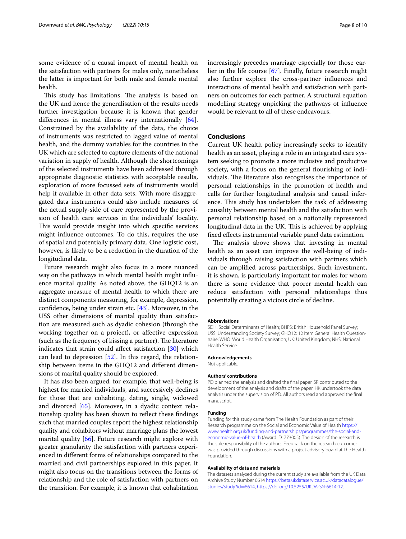some evidence of a causal impact of mental health on the satisfaction with partners for males only, nonetheless the latter is important for both male and female mental health.

This study has limitations. The analysis is based on the UK and hence the generalisation of the results needs further investigation because it is known that gender differences in mental illness vary internationally [\[64](#page-9-24)]. Constrained by the availability of the data, the choice of instruments was restricted to lagged value of mental health, and the dummy variables for the countries in the UK which are selected to capture elements of the national variation in supply of health. Although the shortcomings of the selected instruments have been addressed through appropriate diagnostic statistics with acceptable results, exploration of more focussed sets of instruments would help if available in other data sets. With more disaggregated data instruments could also include measures of the actual supply-side of care represented by the provision of health care services in the individuals' locality. This would provide insight into which specific services might infuence outcomes. To do this, requires the use of spatial and potentially primary data. One logistic cost, however, is likely to be a reduction in the duration of the longitudinal data.

Future research might also focus in a more nuanced way on the pathways in which mental health might infuence marital quality. As noted above, the GHQ12 is an aggregate measure of mental health to which there are distinct components measuring, for example, depression, confidence, being under strain etc.  $[43]$  $[43]$ . Moreover, in the USS other dimensions of marital quality than satisfaction are measured such as dyadic cohesion (through the working together on a project), or afective expression (such as the frequency of kissing a partner). The literature indicates that strain could afect satisfaction [\[30\]](#page-8-25) which can lead to depression [\[52](#page-9-0)]. In this regard, the relationship between items in the GHQ12 and diferent dimensions of marital quality should be explored.

It has also been argued, for example, that well-being is highest for married individuals, and successively declines for those that are cohabiting, dating, single, widowed and divorced [\[65](#page-9-25)]. Moreover, in a dyadic context relationship quality has been shown to refect these fndings such that married couples report the highest relationship quality and cohabitors without marriage plans the lowest marital quality [\[66\]](#page-9-26). Future research might explore with greater granularity the satisfaction with partners experienced in diferent forms of relationships compared to the married and civil partnerships explored in this paper. It might also focus on the transitions between the forms of relationship and the role of satisfaction with partners on the transition. For example, it is known that cohabitation

increasingly precedes marriage especially for those earlier in the life course [[67\]](#page-9-27). Finally, future research might also further explore the cross-partner infuences and interactions of mental health and satisfaction with partners on outcomes for each partner. A structural equation modelling strategy unpicking the pathways of infuence would be relevant to all of these endeavours.

## **Conclusions**

Current UK health policy increasingly seeks to identify health as an asset, playing a role in an integrated care system seeking to promote a more inclusive and productive society, with a focus on the general flourishing of individuals. The literature also recognises the importance of personal relationships in the promotion of health and calls for further longitudinal analysis and causal inference. This study has undertaken the task of addressing causality between mental health and the satisfaction with personal relationship based on a nationally represented longitudinal data in the UK. This is achieved by applying fxed efects instrumental variable panel data estimation.

The analysis above shows that investing in mental health as an asset can improve the well-being of individuals through raising satisfaction with partners which can be amplifed across partnerships. Such investment, it is shown, is particularly important for males for whom there is some evidence that poorer mental health can reduce satisfaction with personal relationships thus potentially creating a vicious circle of decline.

#### **Abbreviations**

SDH: Social Determinants of Health; BHPS: British Household Panel Survey; USS: Understanding Society Survey; GHQ12: 12 Item General Health Questionnaire; WHO: World Health Organisation; UK: United Kingdom; NHS: National Health Service.

#### **Acknowledgements**

Not applicable.

#### **Authors' contributions**

PD planned the analysis and drafted the fnal paper. SR contributed to the development of the analysis and drafts of the paper. HK undertook the data analysis under the supervision of PD. All authors read and approved the fnal manuscript.

#### **Funding**

Funding for this study came from The Health Foundation as part of their Research programme on the Social and Economic Value of Health [https://](https://www.health.org.uk/funding-and-partnerships/programmes/the-social-and-economic-value-of-health) [www.health.org.uk/funding-and-partnerships/programmes/the-social-and](https://www.health.org.uk/funding-and-partnerships/programmes/the-social-and-economic-value-of-health)[economic-value-of-health](https://www.health.org.uk/funding-and-partnerships/programmes/the-social-and-economic-value-of-health) (Award ID: 773005). The design of the research is the sole responsibility of the authors. Feedback on the research outcomes was provided through discussions with a project advisory board at The Health Foundation.

#### **Availability of data and materials**

The datasets analysed during the current study are available from the UK Data Archive Study Number 6614 [https://beta.ukdataservice.ac.uk/datacatalogue/](https://beta.ukdataservice.ac.uk/datacatalogue/studies/study?id=6614) [studies/study?id](https://beta.ukdataservice.ac.uk/datacatalogue/studies/study?id=6614)=6614, <https://doi.org/10.5255/UKDA-SN-6614-12>.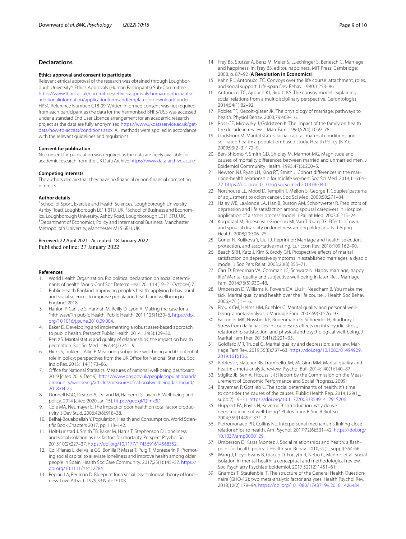## **Declarations**

#### **Ethics approval and consent to participate**

Relevant ethical approval of the research was obtained through Loughborough University's Ethics Approvals (Human Participants) Sub-Committee [https://www.lboro.ac.uk/committees/ethics-approvals-human-participants/](https://www.lboro.ac.uk/committees/ethics-approvals-human-participants/additionalinformation/applicationformsandtemplatesfordownload/) [additionalinformation/applicationformsandtemplatesfordownload/](https://www.lboro.ac.uk/committees/ethics-approvals-human-participants/additionalinformation/applicationformsandtemplatesfordownload/) under HPSC Reference Number: C18-09. Written informed consent was not required from each participant as the data for the harmonised BHPS/USS was accessed under a standard End User Licence arrangement for an academic research project as the data are fully anonymised [https://www.ukdataservice.ac.uk/get](https://www.ukdataservice.ac.uk/get-data/how-to-access/conditions.aspx)[data/how-to-access/conditions.aspx](https://www.ukdataservice.ac.uk/get-data/how-to-access/conditions.aspx). All methods were applied in accordance with the relevant guidelines and regulations.

#### **Consent for publication**

No consent for publication was required as the data are freely available for academic research from the UK Data Archive [https://www.data-archive.ac.uk/.](https://www.data-archive.ac.uk/)

#### **Competing Interests**

The authors declare that they have no fnancial or non-fnancial competing interests.

#### **Author details**

<sup>1</sup> School of Sport, Exercise and Health Sciences, Loughborough University, Ashby Road, Loughborough LE11 3TU, UK. <sup>2</sup>School of Business and Economics, Loughborough University, Ashby Road, Loughborough LE11 3TU, UK. <sup>3</sup> Department of Economics, Policy and International Business, Manchester Metropolitan University, Manchester M15 6BH, UK.

#### Received: 22 April 2021 Accepted: 18 January 2022 Published online: 27 January 2022

#### **References**

- <span id="page-8-0"></span>1. World Health Organization. Rio political declaration on social determinants of health. World Conf Soc Determ Heal. 2011;14(19–21 October):7.
- <span id="page-8-1"></span>2. Public Health England. Improving people's health: applying behavioural and social sciences to improve population health and wellbeing in England. 2018;
- <span id="page-8-2"></span>3. Hanlon P, Carlisle S, Hannah M, Reilly D, Lyon A. Making the case for a "ffth wave" in public Health. Public Health. 2011;125(1):30–6. [https://doi.](https://doi.org/10.1016/j.puhe.2010.09.004) [org/10.1016/j.puhe.2010.09.004.](https://doi.org/10.1016/j.puhe.2010.09.004)
- <span id="page-8-3"></span>4. Baker D. Developing and implementing a robust asset-based approach to public health. Perspect Public Health. 2014;134(3):129–30.
- <span id="page-8-4"></span>5. Ren XS. Marital status and quality of relationships: the impact on health perception. Soc Sci Med. 1997;44(2):241–9.
- <span id="page-8-5"></span>6. Hicks S, Tinkler L, Allin P. Measuring subjective well-being and its potential role in policy: perspectives from the UK Office for National Statistics. Soc Indic Res. 2013;114(1):73–86.
- 7. Office for National Statistics. Measures of national well-being dashboard. 2019 [cited 2019 Dec 9]. [https://www.ons.gov.uk/peoplepopulationandc](https://www.ons.gov.uk/peoplepopulationandcommunity/wellbeing/articles/measuresofnationalwellbeingdashboard/2018-04-25) [ommunity/wellbeing/articles/measuresofnationalwellbeingdashboard/](https://www.ons.gov.uk/peoplepopulationandcommunity/wellbeing/articles/measuresofnationalwellbeingdashboard/2018-04-25) [2018-04-25](https://www.ons.gov.uk/peoplepopulationandcommunity/wellbeing/articles/measuresofnationalwellbeingdashboard/2018-04-25)
- <span id="page-8-6"></span>8. Donnell BGO, Deaton A, Durand M, Halpern D, Layard R. Well-being and policy. 2014 [cited 2020 Jan 15].<https://goo.gl/Qlmx3D>
- <span id="page-8-7"></span>9. Cole MA, Neumayer E. The impact of poor health on total factor productivity. J Dev Stud. 2006;42(6):918–38.
- 10. Belhaj-Bouabdallah Y. Population, Health and Consumption. World Scientifc Book Chapters 2017, pp. 113–142.
- 11. Holt-Lunstad J, Smith TB, Baker M, Harris T, Stephenson D. Loneliness and social isolation as risk factors for mortality. Perspect Psychol Sci. 2015;10(2):227–37. <https://doi.org/10.1177/1745691614568352>.
- <span id="page-8-8"></span>12. Coll-Planas L, del Valle GG, Bonilla P, Masat T, Puig T, Monteserin R. Promoting social capital to alleviate loneliness and improve health among older people in Spain. Health Soc Care Community. 2017;25(1):145–57. [https://](https://doi.org/10.1111/hsc.12284) [doi.org/10.1111/hsc.12284](https://doi.org/10.1111/hsc.12284).
- <span id="page-8-9"></span>13. Peplau LA, Perlman D. Blueprint for a social psychological theory of loneliness. Love Attract. 1979;33:Note 9-108.
- <span id="page-8-10"></span>14. Frey BS, Stutzer A, Benz M, Meier S, Luechinger S, Benesch C. Marriage and happiness. In: Frey BS, editor. happiness. MIT Press: Cambridge; 2008. p. 87–92 (**A Revolution in Economics**).
- <span id="page-8-11"></span>15. Kahn RL, Antonucci TC. Convoys over the life course: attachment, roles, and social support. Life-span Dev Behav. 1980;3:253–86.
- <span id="page-8-12"></span>16. Antonucci TC, Ajrouch KJ, Birditt KS. The convoy model: explaining social relations from a multidisciplinary perspective. Gerontologist. 2014;54(1):82–92.
- <span id="page-8-13"></span>17. Robles TF, Kiecolt-glaser JK. The physiology of marriage: pathways to health. Physiol Behav. 2003;79:409–16.
- <span id="page-8-14"></span>18. Ross CE, Mirowsky J, Goldsteen K. The impact of the family on health: the decade in review. J Marr Fam. 1990;52(4):1059–78.
- <span id="page-8-15"></span>19. Lindström M. Marital status, social capital, material conditions and self-rated health: a population-based study. Health Policy (N Y). 2009;93(2–3):172–9.
- <span id="page-8-16"></span>20. Ben-Shlomo Y, Smith GD, Shipley M, Marmot MG. Magnitude and causes of mortality diferences between married and unmarried men. J Epidemiol Community Health. 1993;47(3):200–5.
- <span id="page-8-17"></span>21. Newton NJ, Ryan LH, King RT, Smith J. Cohort diferences in the marriage-health relationship for midlife women. Soc Sci Med. 2014;116:64– 72.<https://doi.org/10.1016/j.socscimed.2014.06.040>.
- <span id="page-8-18"></span>22. Northouse LL, Mood D, Templin T, Mellon S, George T. Couples' patterns of adjustment to colon cancer. Soc Sci Med. 2000;50:271–84.
- 23. Haley WE, LaMonde LA, Han B, Burton AM, Schonwetter R. Predictors of depression and life satisfaction among spousal caregivers in Hospice: application of a stress process model. J Palliat Med. 2003;6:215–24.
- <span id="page-8-19"></span>24. Korporaal M, Broese Van Groenou MI, Van Tilburg TG. Efects of own and spousal disability on loneliness among older adults. J Aging Health. 2008;20:306–25.
- <span id="page-8-20"></span>25. Guner N, Kulikova Y, Llull J. Reprint of: Marriage and health: selection, protection, and assortative mating. Eur Econ Rev. 2018;109:162–90.
- <span id="page-8-21"></span>26. Beach SRH, Katz J, Kim S, Brody GH. Prospective efects of marital satisfaction on depressive symptoms in established marriages: a dyadic model. J Soc Pers Relat. 2003;20(3):355–71.
- <span id="page-8-22"></span>27. Carr D, Freedman VA, Cornman JC, Schwarz N. Happy marriage, happy life? Marital quality and subjective well-being in later life. J Marriage Fam. 2014;76(5):930–48.
- <span id="page-8-23"></span>28. Umberson D, Williams K, Powers DA, Liu H, Needham B. You make me sick: Marital quality and health over the life course. J Health Soc Behav. 2006;47(1):1–16.
- <span id="page-8-24"></span>29. Proulx CM, Helms HM, Buehler C. Marital quality and personal wellbeing: a meta-analysis. J Marriage Fam. 2007;69(3):576–93.
- <span id="page-8-25"></span>30. Falconier MK, Nussbeck F, Bodenmann G, Schneider H, Bradbury T. Stress from daily hassles in couples: its effects on intradyadic stress, relationship satisfaction, and physical and psychological well-being. J Marital Fam Ther. 2015;41(2):221–35.
- <span id="page-8-26"></span>31. Goldfarb MR, Trudel G. Marital quality and depression: a review. Marriage Fam Rev. 2019;55(8):737–63. [https://doi.org/10.1080/01494929.](https://doi.org/10.1080/01494929.2019.1610136) [2019.1610136.](https://doi.org/10.1080/01494929.2019.1610136)
- <span id="page-8-27"></span>32. Robles TF, Slatcher RB, Trombello JM, McGinn MM. Marital quality and health: a meta-analytic review. Psychol Bull. 2014;140(1):140–87.
- <span id="page-8-28"></span>33. Stiglitz JE, Sen A, Fitoussi J-P. Report by the Commission on the Measurement of Economic Performance and Social Progress. 2009;
- <span id="page-8-29"></span>34. Braveman P, Gottlieb L. The social determinants of health: it's time to consider the causes of the causes. Public Health Rep. 2014;129(1\_ suppl2):19–31.<https://doi.org/10.1177/00333549141291S206>.
- 35. Huppert FA, Baylis N, Keverne B. Introduction: why do we need a science of well-being? Philos Trans R Soc B Biol Sci. 2004;359(1449):1331–2.
- <span id="page-8-33"></span>36. Pietromonaco PR, Collins NL. Interpersonal mechanisms linking close relationships to health. Am Psychol. 2017;72(6):531–42. [https://doi.org/](https://doi.org/10.1037/amp0000129) [10.1037/amp0000129.](https://doi.org/10.1037/amp0000129)
- <span id="page-8-30"></span>37. Umberson D, Karas Montez J. Social relationships and health: a fashpoint for health policy. J Health Soc Behav. 2010;51(1\_suppl):S54-66.
- <span id="page-8-31"></span>38. Wang J, Lloyd-Evans B, Giacco D, Forsyth R, Nebo C, Mann F, et al. Social isolation in mental health: a conceptual and methodological review. Soc Psychiatry Psychiatr Epidemiol. 2017;52(12):1451–61.
- <span id="page-8-32"></span>39. Gnambs T, Staufenbiel T. The structure of the General Health Questionnaire (GHQ-12): two meta-analytic factor analyses. Health Psychol Rev. 2018;12(2):179–94. [https://doi.org/10.1080/17437199.2018.1426484.](https://doi.org/10.1080/17437199.2018.1426484)